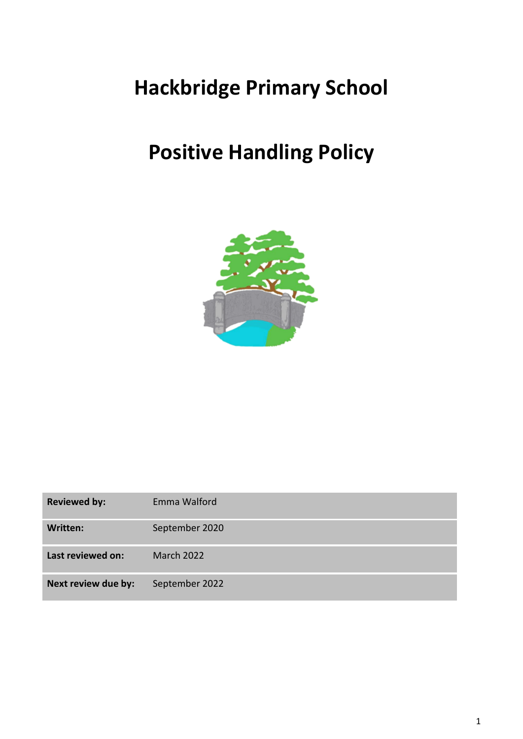# **Hackbridge Primary School**

# **Positive Handling Policy**



| <b>Reviewed by:</b> | Emma Walford   |
|---------------------|----------------|
| Written:            | September 2020 |
| Last reviewed on:   | March 2022     |
| Next review due by: | September 2022 |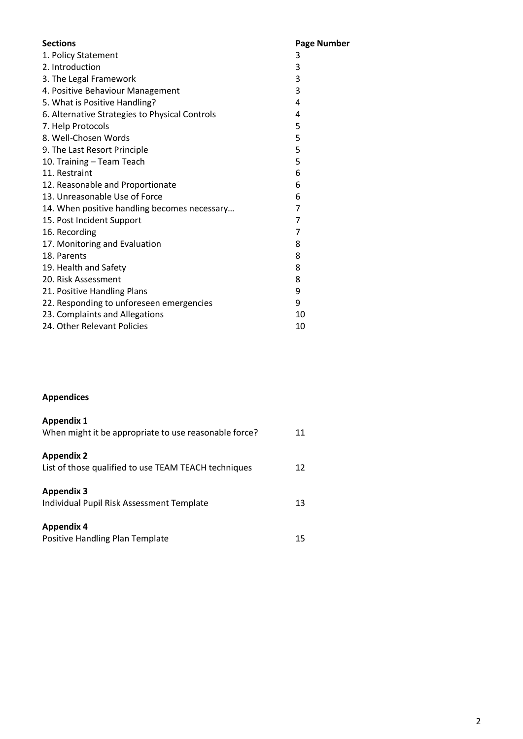| <b>Sections</b>                                | <b>Page Number</b> |
|------------------------------------------------|--------------------|
| 1. Policy Statement                            | 3                  |
| 2. Introduction                                | 3                  |
| 3. The Legal Framework                         | 3                  |
| 4. Positive Behaviour Management               | 3                  |
| 5. What is Positive Handling?                  | 4                  |
| 6. Alternative Strategies to Physical Controls | 4                  |
| 7. Help Protocols                              | 5                  |
| 8. Well-Chosen Words                           | 5                  |
| 9. The Last Resort Principle                   | 5                  |
| 10. Training - Team Teach                      | 5                  |
| 11. Restraint                                  | 6                  |
| 12. Reasonable and Proportionate               | 6                  |
| 13. Unreasonable Use of Force                  | 6                  |
| 14. When positive handling becomes necessary   | 7                  |
| 15. Post Incident Support                      | 7                  |
| 16. Recording                                  | $\overline{7}$     |
| 17. Monitoring and Evaluation                  | 8                  |
| 18. Parents                                    | 8                  |
| 19. Health and Safety                          | 8                  |
| 20. Risk Assessment                            | 8                  |
| 21. Positive Handling Plans                    | 9                  |
| 22. Responding to unforeseen emergencies       | 9                  |
| 23. Complaints and Allegations                 | 10                 |
| 24. Other Relevant Policies                    | 10                 |
|                                                |                    |

## **Appendices**

| <b>Appendix 1</b><br>When might it be appropriate to use reasonable force? | 11 |
|----------------------------------------------------------------------------|----|
| <b>Appendix 2</b><br>List of those qualified to use TEAM TEACH techniques  | 12 |
| <b>Appendix 3</b><br>Individual Pupil Risk Assessment Template             | 13 |
| <b>Appendix 4</b><br>Positive Handling Plan Template                       | 15 |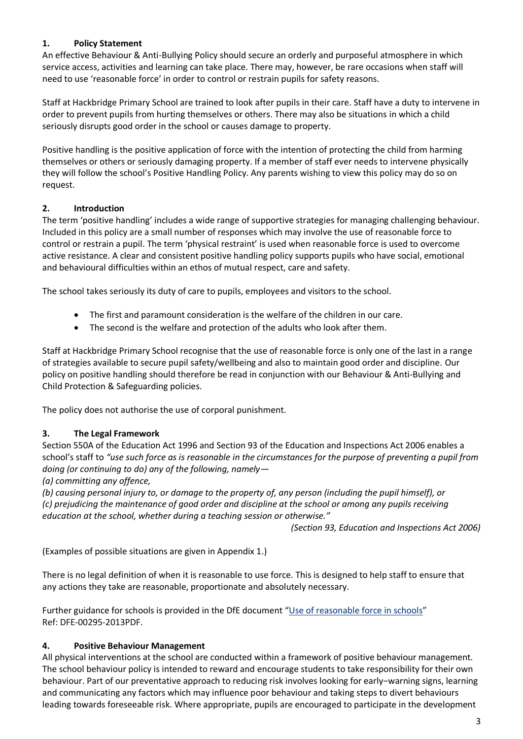## **1. Policy Statement**

An effective Behaviour & Anti-Bullying Policy should secure an orderly and purposeful atmosphere in which service access, activities and learning can take place. There may, however, be rare occasions when staff will need to use 'reasonable force' in order to control or restrain pupils for safety reasons.

Staff at Hackbridge Primary School are trained to look after pupils in their care. Staff have a duty to intervene in order to prevent pupils from hurting themselves or others. There may also be situations in which a child seriously disrupts good order in the school or causes damage to property.

Positive handling is the positive application of force with the intention of protecting the child from harming themselves or others or seriously damaging property. If a member of staff ever needs to intervene physically they will follow the school's Positive Handling Policy. Any parents wishing to view this policy may do so on request.

#### **2. Introduction**

The term 'positive handling' includes a wide range of supportive strategies for managing challenging behaviour. Included in this policy are a small number of responses which may involve the use of reasonable force to control or restrain a pupil. The term 'physical restraint' is used when reasonable force is used to overcome active resistance. A clear and consistent positive handling policy supports pupils who have social, emotional and behavioural difficulties within an ethos of mutual respect, care and safety.

The school takes seriously its duty of care to pupils, employees and visitors to the school.

- The first and paramount consideration is the welfare of the children in our care.
- The second is the welfare and protection of the adults who look after them.

Staff at Hackbridge Primary School recognise that the use of reasonable force is only one of the last in a range of strategies available to secure pupil safety/wellbeing and also to maintain good order and discipline. Our policy on positive handling should therefore be read in conjunction with our Behaviour & Anti-Bullying and Child Protection & Safeguarding policies.

The policy does not authorise the use of corporal punishment.

#### **3. The Legal Framework**

Section 550A of the Education Act 1996 and Section 93 of the Education and Inspections Act 2006 enables a school's staff to *"use such force as is reasonable in the circumstances for the purpose of preventing a pupil from doing (or continuing to do) any of the following, namely—*

*(a) committing any offence,*

*(b) causing personal injury to, or damage to the property of, any person (including the pupil himself), or (c) prejudicing the maintenance of good order and discipline at the school or among any pupils receiving education at the school, whether during a teaching session or otherwise."*

*(Section 93, Education and Inspections Act 2006)*

(Examples of possible situations are given in Appendix 1.)

There is no legal definition of when it is reasonable to use force. This is designed to help staff to ensure that any actions they take are reasonable, proportionate and absolutely necessary.

Further guidance for schools is provided in the DfE document "[Use of reasonable force in schools](https://assets.publishing.service.gov.uk/government/uploads/system/uploads/attachment_data/file/444051/Use_of_reasonable_force_advice_Reviewed_July_2015.pdf)" Ref: DFE-00295-2013PDF.

#### **4. Positive Behaviour Management**

All physical interventions at the school are conducted within a framework of positive behaviour management. The school behaviour policy is intended to reward and encourage students to take responsibility for their own behaviour. Part of our preventative approach to reducing risk involves looking for early−warning signs, learning and communicating any factors which may influence poor behaviour and taking steps to divert behaviours leading towards foreseeable risk. Where appropriate, pupils are encouraged to participate in the development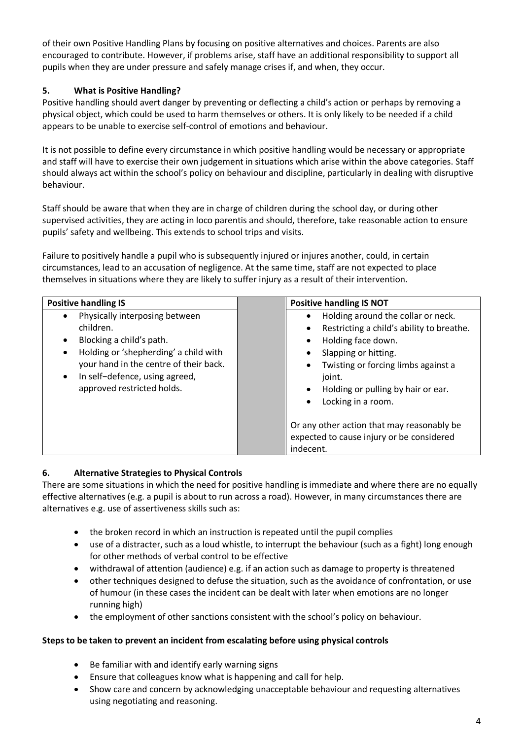of their own Positive Handling Plans by focusing on positive alternatives and choices. Parents are also encouraged to contribute. However, if problems arise, staff have an additional responsibility to support all pupils when they are under pressure and safely manage crises if, and when, they occur.

## **5. What is Positive Handling?**

Positive handling should avert danger by preventing or deflecting a child's action or perhaps by removing a physical object, which could be used to harm themselves or others. It is only likely to be needed if a child appears to be unable to exercise self-control of emotions and behaviour.

It is not possible to define every circumstance in which positive handling would be necessary or appropriate and staff will have to exercise their own judgement in situations which arise within the above categories. Staff should always act within the school's policy on behaviour and discipline, particularly in dealing with disruptive behaviour.

Staff should be aware that when they are in charge of children during the school day, or during other supervised activities, they are acting in loco parentis and should, therefore, take reasonable action to ensure pupils' safety and wellbeing. This extends to school trips and visits.

Failure to positively handle a pupil who is subsequently injured or injures another, could, in certain circumstances, lead to an accusation of negligence. At the same time, staff are not expected to place themselves in situations where they are likely to suffer injury as a result of their intervention.

| <b>Positive handling IS</b>                                                                                                                                                                                                                                       | <b>Positive handling IS NOT</b>                                                                                                                                                                                                                                                                                                                                             |
|-------------------------------------------------------------------------------------------------------------------------------------------------------------------------------------------------------------------------------------------------------------------|-----------------------------------------------------------------------------------------------------------------------------------------------------------------------------------------------------------------------------------------------------------------------------------------------------------------------------------------------------------------------------|
| Physically interposing between<br>children.<br>Blocking a child's path.<br>$\bullet$<br>Holding or 'shepherding' a child with<br>$\bullet$<br>your hand in the centre of their back.<br>In self-defence, using agreed,<br>$\bullet$<br>approved restricted holds. | Holding around the collar or neck.<br>$\bullet$<br>Restricting a child's ability to breathe.<br>$\bullet$<br>Holding face down.<br>٠<br>Slapping or hitting.<br>$\bullet$<br>Twisting or forcing limbs against a<br>$\bullet$<br>joint.<br>Holding or pulling by hair or ear.<br>$\bullet$<br>Locking in a room.<br>$\bullet$<br>Or any other action that may reasonably be |
|                                                                                                                                                                                                                                                                   | expected to cause injury or be considered<br>indecent.                                                                                                                                                                                                                                                                                                                      |

## **6. Alternative Strategies to Physical Controls**

There are some situations in which the need for positive handling is immediate and where there are no equally effective alternatives (e.g. a pupil is about to run across a road). However, in many circumstances there are alternatives e.g. use of assertiveness skills such as:

- the broken record in which an instruction is repeated until the pupil complies
- use of a distracter, such as a loud whistle, to interrupt the behaviour (such as a fight) long enough for other methods of verbal control to be effective
- withdrawal of attention (audience) e.g. if an action such as damage to property is threatened
- other techniques designed to defuse the situation, such as the avoidance of confrontation, or use of humour (in these cases the incident can be dealt with later when emotions are no longer running high)
- the employment of other sanctions consistent with the school's policy on behaviour.

#### **Steps to be taken to prevent an incident from escalating before using physical controls**

- Be familiar with and identify early warning signs
- Ensure that colleagues know what is happening and call for help.
- Show care and concern by acknowledging unacceptable behaviour and requesting alternatives using negotiating and reasoning.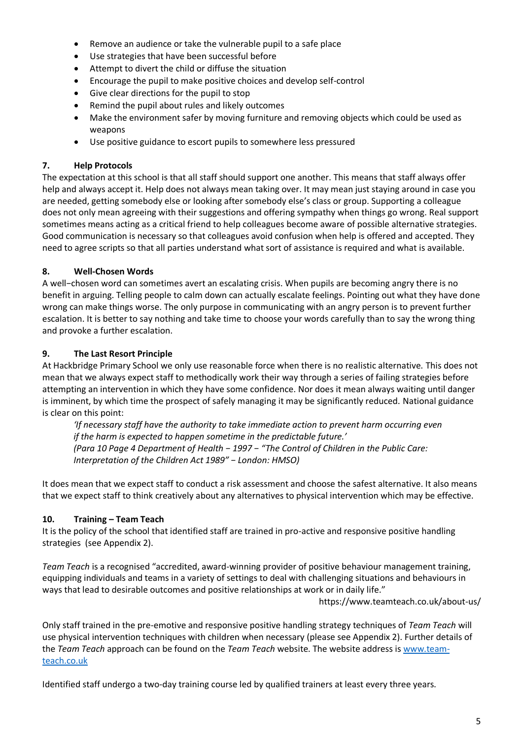- Remove an audience or take the vulnerable pupil to a safe place
- Use strategies that have been successful before
- Attempt to divert the child or diffuse the situation
- Encourage the pupil to make positive choices and develop self-control
- Give clear directions for the pupil to stop
- Remind the pupil about rules and likely outcomes
- Make the environment safer by moving furniture and removing objects which could be used as weapons
- Use positive guidance to escort pupils to somewhere less pressured

#### **7. Help Protocols**

The expectation at this school is that all staff should support one another. This means that staff always offer help and always accept it. Help does not always mean taking over. It may mean just staying around in case you are needed, getting somebody else or looking after somebody else's class or group. Supporting a colleague does not only mean agreeing with their suggestions and offering sympathy when things go wrong. Real support sometimes means acting as a critical friend to help colleagues become aware of possible alternative strategies. Good communication is necessary so that colleagues avoid confusion when help is offered and accepted. They need to agree scripts so that all parties understand what sort of assistance is required and what is available.

### **8. Well-Chosen Words**

A well−chosen word can sometimes avert an escalating crisis. When pupils are becoming angry there is no benefit in arguing. Telling people to calm down can actually escalate feelings. Pointing out what they have done wrong can make things worse. The only purpose in communicating with an angry person is to prevent further escalation. It is better to say nothing and take time to choose your words carefully than to say the wrong thing and provoke a further escalation.

#### **9. The Last Resort Principle**

At Hackbridge Primary School we only use reasonable force when there is no realistic alternative. This does not mean that we always expect staff to methodically work their way through a series of failing strategies before attempting an intervention in which they have some confidence. Nor does it mean always waiting until danger is imminent, by which time the prospect of safely managing it may be significantly reduced. National guidance is clear on this point:

*'If necessary staff have the authority to take immediate action to prevent harm occurring even if the harm is expected to happen sometime in the predictable future.' (Para 10 Page 4 Department oƒ Health − 1997 − "The Control oƒ Children in the Public Care: Interpretation oƒ the Children Act 1989" − London: HMSO)*

It does mean that we expect staff to conduct a risk assessment and choose the safest alternative. It also means that we expect staff to think creatively about any alternatives to physical intervention which may be effective.

## **10. Training – Team Teach**

It is the policy of the school that identified staff are trained in pro-active and responsive positive handling strategies (see Appendix 2).

*Team Teach* is a recognised "accredited, award-winning provider of positive behaviour management training, equipping individuals and teams in a variety of settings to deal with challenging situations and behaviours in ways that lead to desirable outcomes and positive relationships at work or in daily life."

https://www.teamteach.co.uk/about-us/

Only staff trained in the pre-emotive and responsive positive handling strategy techniques of *Team Teach* will use physical intervention techniques with children when necessary (please see Appendix 2). Further details of the *Team Teach* approach can be found on the *Team Teach* website. The website address is [www.team](http://www.team-teach.co.uk/)[teach.co.uk](http://www.team-teach.co.uk/)

Identified staff undergo a two-day training course led by qualified trainers at least every three years.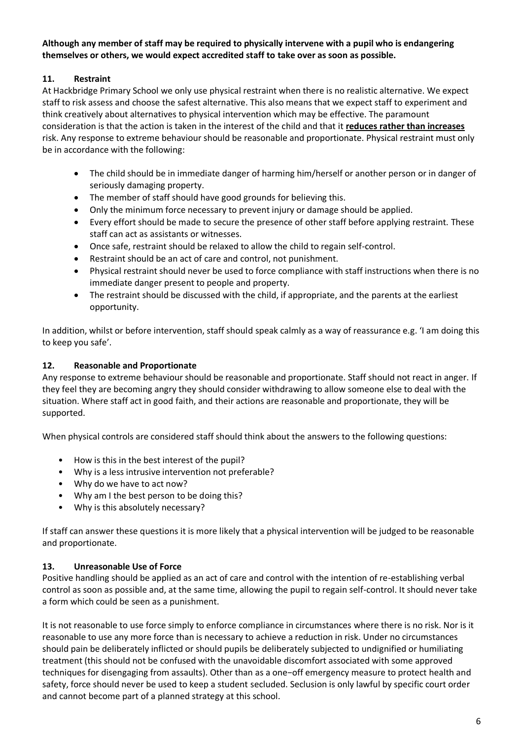## **Although any member of staff may be required to physically intervene with a pupil who is endangering themselves or others, we would expect accredited staff to take over as soon as possible.**

## **11. Restraint**

At Hackbridge Primary School we only use physical restraint when there is no realistic alternative. We expect staff to risk assess and choose the safest alternative. This also means that we expect staff to experiment and think creatively about alternatives to physical intervention which may be effective. The paramount consideration is that the action is taken in the interest of the child and that it **reduces rather than increases** risk. Any response to extreme behaviour should be reasonable and proportionate. Physical restraint must only be in accordance with the following:

- The child should be in immediate danger of harming him/herself or another person or in danger of seriously damaging property.
- The member of staff should have good grounds for believing this.
- Only the minimum force necessary to prevent injury or damage should be applied.
- Every effort should be made to secure the presence of other staff before applying restraint. These staff can act as assistants or witnesses.
- Once safe, restraint should be relaxed to allow the child to regain self-control.
- Restraint should be an act of care and control, not punishment.
- Physical restraint should never be used to force compliance with staff instructions when there is no immediate danger present to people and property.
- The restraint should be discussed with the child, if appropriate, and the parents at the earliest opportunity.

In addition, whilst or before intervention, staff should speak calmly as a way of reassurance e.g. 'I am doing this to keep you safe'.

## **12. Reasonable and Proportionate**

Any response to extreme behaviour should be reasonable and proportionate. Staff should not react in anger. If they feel they are becoming angry they should consider withdrawing to allow someone else to deal with the situation. Where staff act in good faith, and their actions are reasonable and proportionate, they will be supported.

When physical controls are considered staff should think about the answers to the following questions:

- How is this in the best interest of the pupil?
- Why is a less intrusive intervention not preferable?
- Why do we have to act now?
- Why am I the best person to be doing this?
- Why is this absolutely necessary?

If staff can answer these questions it is more likely that a physical intervention will be judged to be reasonable and proportionate.

#### **13. Unreasonable Use of Force**

Positive handling should be applied as an act of care and control with the intention of re-establishing verbal control as soon as possible and, at the same time, allowing the pupil to regain self-control. It should never take a form which could be seen as a punishment.

It is not reasonable to use force simply to enforce compliance in circumstances where there is no risk. Nor is it reasonable to use any more force than is necessary to achieve a reduction in risk. Under no circumstances should pain be deliberately inflicted or should pupils be deliberately subjected to undignified or humiliating treatment (this should not be confused with the unavoidable discomfort associated with some approved techniques for disengaging from assaults). Other than as a one−off emergency measure to protect health and safety, force should never be used to keep a student secluded. Seclusion is only lawful by specific court order and cannot become part of a planned strategy at this school.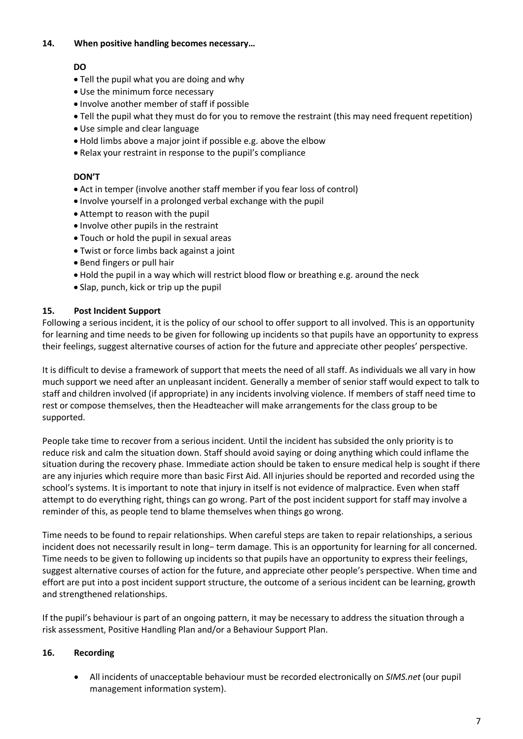#### **14. When positive handling becomes necessary…**

### **DO**

- Tell the pupil what you are doing and why
- Use the minimum force necessary
- Involve another member of staff if possible
- Tell the pupil what they must do for you to remove the restraint (this may need frequent repetition)
- Use simple and clear language
- Hold limbs above a major joint if possible e.g. above the elbow
- Relax your restraint in response to the pupil's compliance

## **DON'T**

- Act in temper (involve another staff member if you fear loss of control)
- Involve yourself in a prolonged verbal exchange with the pupil
- Attempt to reason with the pupil
- Involve other pupils in the restraint
- Touch or hold the pupil in sexual areas
- Twist or force limbs back against a joint
- Bend fingers or pull hair
- Hold the pupil in a way which will restrict blood flow or breathing e.g. around the neck
- Slap, punch, kick or trip up the pupil

### **15. Post Incident Support**

Following a serious incident, it is the policy of our school to offer support to all involved. This is an opportunity for learning and time needs to be given for following up incidents so that pupils have an opportunity to express their feelings, suggest alternative courses of action for the future and appreciate other peoples' perspective.

It is difficult to devise a framework of support that meets the need of all staff. As individuals we all vary in how much support we need after an unpleasant incident. Generally a member of senior staff would expect to talk to staff and children involved (if appropriate) in any incidents involving violence. If members of staff need time to rest or compose themselves, then the Headteacher will make arrangements for the class group to be supported.

People take time to recover from a serious incident. Until the incident has subsided the only priority is to reduce risk and calm the situation down. Staff should avoid saying or doing anything which could inflame the situation during the recovery phase. Immediate action should be taken to ensure medical help is sought if there are any injuries which require more than basic First Aid. All injuries should be reported and recorded using the school's systems. It is important to note that injury in itself is not evidence of malpractice. Even when staff attempt to do everything right, things can go wrong. Part of the post incident support for staff may involve a reminder of this, as people tend to blame themselves when things go wrong.

Time needs to be found to repair relationships. When careful steps are taken to repair relationships, a serious incident does not necessarily result in long− term damage. This is an opportunity for learning for all concerned. Time needs to be given to following up incidents so that pupils have an opportunity to express their feelings, suggest alternative courses of action for the future, and appreciate other people's perspective. When time and effort are put into a post incident support structure, the outcome of a serious incident can be learning, growth and strengthened relationships.

If the pupil's behaviour is part of an ongoing pattern, it may be necessary to address the situation through a risk assessment, Positive Handling Plan and/or a Behaviour Support Plan.

## **16. Recording**

 All incidents of unacceptable behaviour must be recorded electronically on *SIMS.net* (our pupil management information system).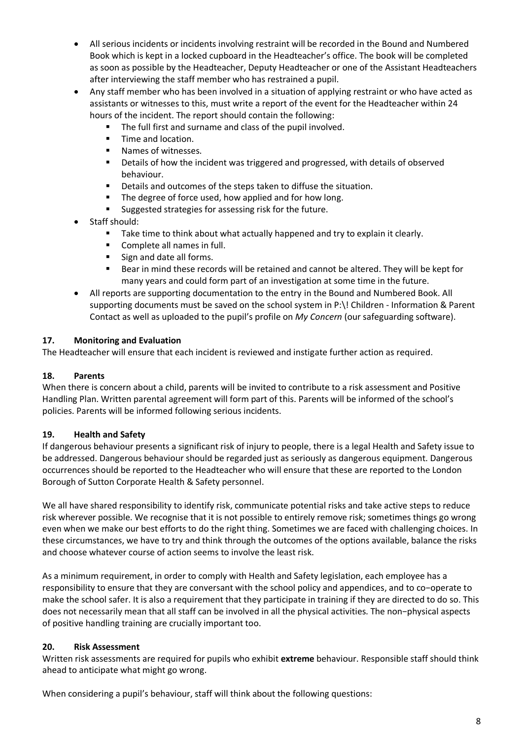- All serious incidents or incidents involving restraint will be recorded in the Bound and Numbered Book which is kept in a locked cupboard in the Headteacher's office. The book will be completed as soon as possible by the Headteacher, Deputy Headteacher or one of the Assistant Headteachers after interviewing the staff member who has restrained a pupil.
- Any staff member who has been involved in a situation of applying restraint or who have acted as assistants or witnesses to this, must write a report of the event for the Headteacher within 24 hours of the incident. The report should contain the following:
	- The full first and surname and class of the pupil involved.
	- Time and location.
	- **Names of witnesses.**
	- **•** Details of how the incident was triggered and progressed, with details of observed behaviour.
	- Details and outcomes of the steps taken to diffuse the situation.
	- The degree of force used, how applied and for how long.
	- **Suggested strategies for assessing risk for the future.**
- Staff should:
	- Take time to think about what actually happened and try to explain it clearly.
	- **Complete all names in full.**
	- Sign and date all forms.
	- Bear in mind these records will be retained and cannot be altered. They will be kept for many years and could form part of an investigation at some time in the future.
- All reports are supporting documentation to the entry in the Bound and Numbered Book. All supporting documents must be saved on the school system in P:\! Children - Information & Parent Contact as well as uploaded to the pupil's profile on *My Concern* (our safeguarding software).

#### **17. Monitoring and Evaluation**

The Headteacher will ensure that each incident is reviewed and instigate further action as required.

#### **18. Parents**

When there is concern about a child, parents will be invited to contribute to a risk assessment and Positive Handling Plan. Written parental agreement will form part of this. Parents will be informed of the school's policies. Parents will be informed following serious incidents.

#### **19. Health and Safety**

If dangerous behaviour presents a significant risk of injury to people, there is a legal Health and Safety issue to be addressed. Dangerous behaviour should be regarded just as seriously as dangerous equipment. Dangerous occurrences should be reported to the Headteacher who will ensure that these are reported to the London Borough of Sutton Corporate Health & Safety personnel.

We all have shared responsibility to identify risk, communicate potential risks and take active steps to reduce risk wherever possible. We recognise that it is not possible to entirely remove risk; sometimes things go wrong even when we make our best efforts to do the right thing. Sometimes we are faced with challenging choices. In these circumstances, we have to try and think through the outcomes of the options available, balance the risks and choose whatever course of action seems to involve the least risk.

As a minimum requirement, in order to comply with Health and Safety legislation, each employee has a responsibility to ensure that they are conversant with the school policy and appendices, and to co−operate to make the school safer. It is also a requirement that they participate in training if they are directed to do so. This does not necessarily mean that all staff can be involved in all the physical activities. The non−physical aspects of positive handling training are crucially important too.

#### **20. Risk Assessment**

Written risk assessments are required for pupils who exhibit **extreme** behaviour. Responsible staff should think ahead to anticipate what might go wrong.

When considering a pupil's behaviour, staff will think about the following questions: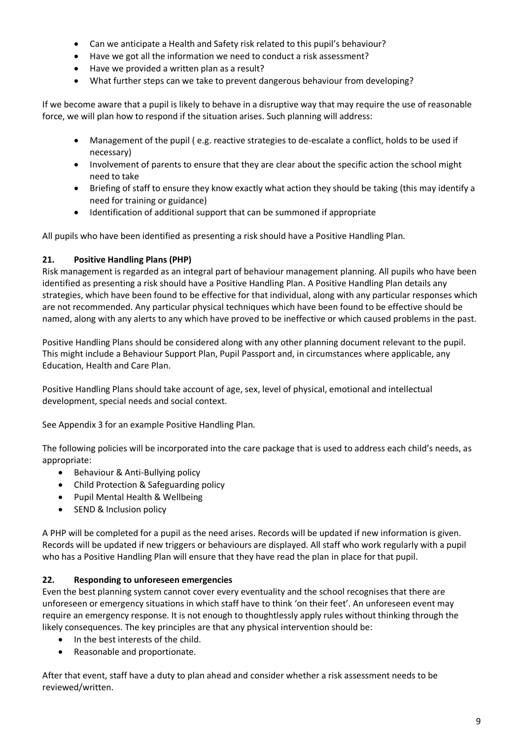- Can we anticipate a Health and Safety risk related to this pupil's behaviour?
- Have we got all the information we need to conduct a risk assessment?
- Have we provided a written plan as a result?
- What further steps can we take to prevent dangerous behaviour from developing?

If we become aware that a pupil is likely to behave in a disruptive way that may require the use of reasonable force, we will plan how to respond if the situation arises. Such planning will address:

- Management of the pupil ( e.g. reactive strategies to de-escalate a conflict, holds to be used if necessary)
- Involvement of parents to ensure that they are clear about the specific action the school might need to take
- Briefing of staff to ensure they know exactly what action they should be taking (this may identify a need for training or guidance)
- Identification of additional support that can be summoned if appropriate

All pupils who have been identified as presenting a risk should have a Positive Handling Plan.

## **21. Positive Handling Plans (PHP)**

Risk management is regarded as an integral part of behaviour management planning. All pupils who have been identified as presenting a risk should have a Positive Handling Plan. A Positive Handling Plan details any strategies, which have been found to be effective for that individual, along with any particular responses which are not recommended. Any particular physical techniques which have been found to be effective should be named, along with any alerts to any which have proved to be ineffective or which caused problems in the past.

Positive Handling Plans should be considered along with any other planning document relevant to the pupil. This might include a Behaviour Support Plan, Pupil Passport and, in circumstances where applicable, any Education, Health and Care Plan.

Positive Handling Plans should take account of age, sex, level of physical, emotional and intellectual development, special needs and social context.

See Appendix 3 for an example Positive Handling Plan.

The following policies will be incorporated into the care package that is used to address each child's needs, as appropriate:

- Behaviour & Anti-Bullying policy
- Child Protection & Safeguarding policy
- Pupil Mental Health & Wellbeing
- SEND & Inclusion policy

A PHP will be completed for a pupil as the need arises. Records will be updated if new information is given. Records will be updated if new triggers or behaviours are displayed. All staff who work regularly with a pupil who has a Positive Handling Plan will ensure that they have read the plan in place for that pupil.

## **22. Responding to unforeseen emergencies**

Even the best planning system cannot cover every eventuality and the school recognises that there are unforeseen or emergency situations in which staff have to think 'on their feet'. An unforeseen event may require an emergency response. It is not enough to thoughtlessly apply rules without thinking through the likely consequences. The key principles are that any physical intervention should be:

- In the best interests of the child.
- Reasonable and proportionate.

After that event, staff have a duty to plan ahead and consider whether a risk assessment needs to be reviewed/written.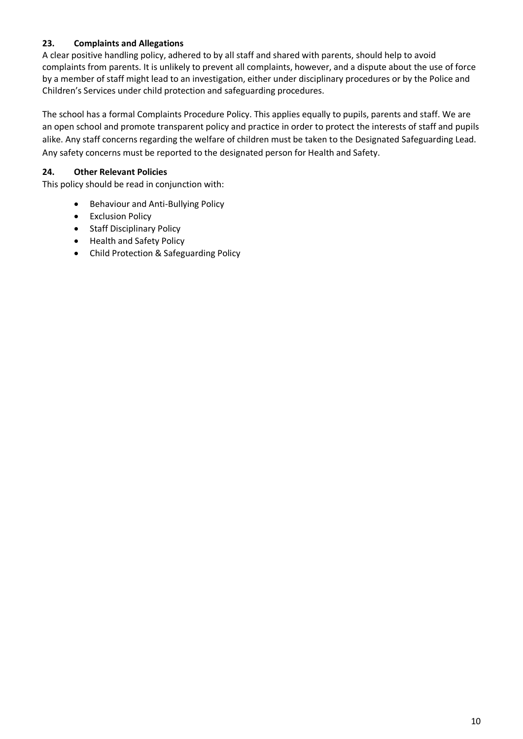## **23. Complaints and Allegations**

A clear positive handling policy, adhered to by all staff and shared with parents, should help to avoid complaints from parents. It is unlikely to prevent all complaints, however, and a dispute about the use of force by a member of staff might lead to an investigation, either under disciplinary procedures or by the Police and Children's Services under child protection and safeguarding procedures.

The school has a formal Complaints Procedure Policy. This applies equally to pupils, parents and staff. We are an open school and promote transparent policy and practice in order to protect the interests of staff and pupils alike. Any staff concerns regarding the welfare of children must be taken to the Designated Safeguarding Lead. Any safety concerns must be reported to the designated person for Health and Safety.

## **24. Other Relevant Policies**

This policy should be read in conjunction with:

- Behaviour and Anti-Bullying Policy
- Exclusion Policy
- Staff Disciplinary Policy
- Health and Safety Policy
- Child Protection & Safeguarding Policy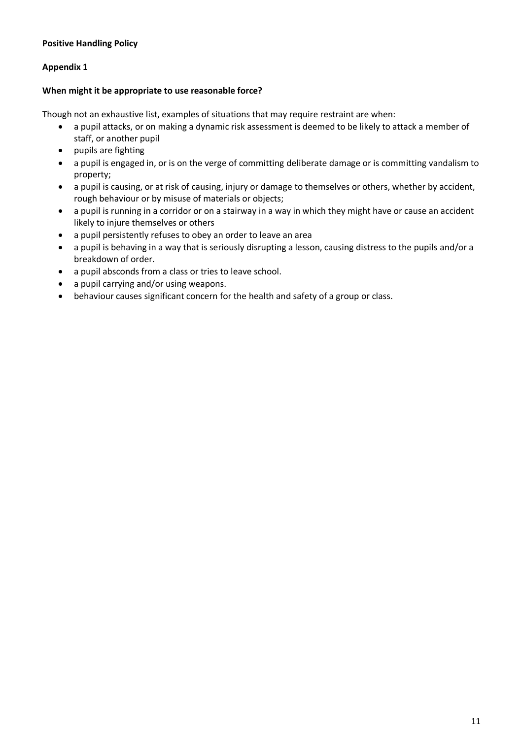#### **Appendix 1**

#### **When might it be appropriate to use reasonable force?**

Though not an exhaustive list, examples of situations that may require restraint are when:

- a pupil attacks, or on making a dynamic risk assessment is deemed to be likely to attack a member of staff, or another pupil
- pupils are fighting
- a pupil is engaged in, or is on the verge of committing deliberate damage or is committing vandalism to property;
- a pupil is causing, or at risk of causing, injury or damage to themselves or others, whether by accident, rough behaviour or by misuse of materials or objects;
- a pupil is running in a corridor or on a stairway in a way in which they might have or cause an accident likely to injure themselves or others
- a pupil persistently refuses to obey an order to leave an area
- a pupil is behaving in a way that is seriously disrupting a lesson, causing distress to the pupils and/or a breakdown of order.
- a pupil absconds from a class or tries to leave school.
- a pupil carrying and/or using weapons.
- behaviour causes significant concern for the health and safety of a group or class.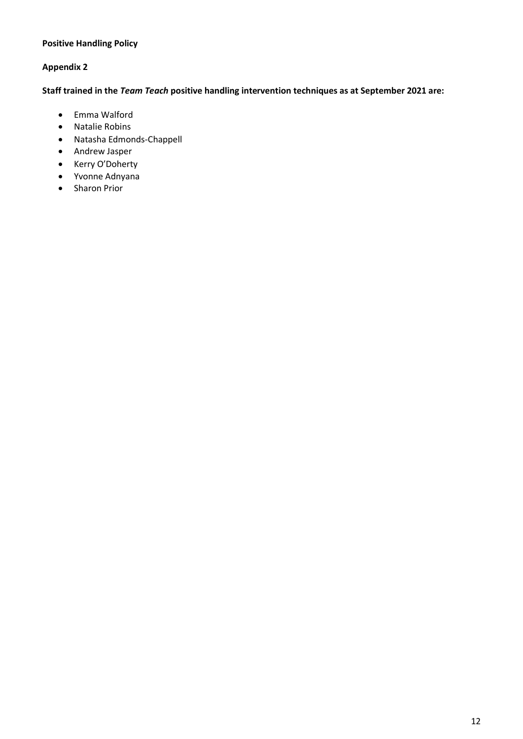#### **Appendix 2**

**Staff trained in the** *Team Teach* **positive handling intervention techniques as at September 2021 are:**

- Emma Walford
- Natalie Robins
- Natasha Edmonds-Chappell
- Andrew Jasper
- Kerry O'Doherty
- Yvonne Adnyana
- Sharon Prior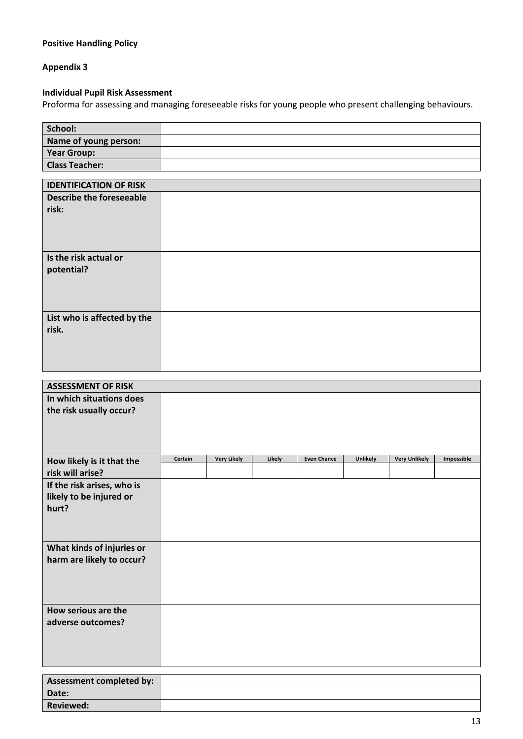#### **Appendix 3**

#### **Individual Pupil Risk Assessment**

Proforma for assessing and managing foreseeable risks for young people who present challenging behaviours.

| School:               |  |
|-----------------------|--|
| Name of young person: |  |
| <b>Year Group:</b>    |  |
| <b>Class Teacher:</b> |  |
|                       |  |

| <b>IDENTIFICATION OF RISK</b>   |  |
|---------------------------------|--|
| <b>Describe the foreseeable</b> |  |
| risk:                           |  |
|                                 |  |
|                                 |  |
|                                 |  |
|                                 |  |
| Is the risk actual or           |  |
| potential?                      |  |
|                                 |  |
|                                 |  |
|                                 |  |
| List who is affected by the     |  |
| risk.                           |  |
|                                 |  |
|                                 |  |
|                                 |  |
|                                 |  |

| <b>ASSESSMENT OF RISK</b>  |         |                    |        |                    |          |                      |            |
|----------------------------|---------|--------------------|--------|--------------------|----------|----------------------|------------|
| In which situations does   |         |                    |        |                    |          |                      |            |
| the risk usually occur?    |         |                    |        |                    |          |                      |            |
|                            |         |                    |        |                    |          |                      |            |
|                            |         |                    |        |                    |          |                      |            |
|                            |         |                    |        |                    |          |                      |            |
| How likely is it that the  | Certain | <b>Very Likely</b> | Likely | <b>Even Chance</b> | Unlikely | <b>Very Unlikely</b> | Impossible |
| risk will arise?           |         |                    |        |                    |          |                      |            |
| If the risk arises, who is |         |                    |        |                    |          |                      |            |
| likely to be injured or    |         |                    |        |                    |          |                      |            |
| hurt?                      |         |                    |        |                    |          |                      |            |
|                            |         |                    |        |                    |          |                      |            |
|                            |         |                    |        |                    |          |                      |            |
| What kinds of injuries or  |         |                    |        |                    |          |                      |            |
| harm are likely to occur?  |         |                    |        |                    |          |                      |            |
|                            |         |                    |        |                    |          |                      |            |
|                            |         |                    |        |                    |          |                      |            |
|                            |         |                    |        |                    |          |                      |            |
| How serious are the        |         |                    |        |                    |          |                      |            |
| adverse outcomes?          |         |                    |        |                    |          |                      |            |
|                            |         |                    |        |                    |          |                      |            |
|                            |         |                    |        |                    |          |                      |            |
|                            |         |                    |        |                    |          |                      |            |
|                            |         |                    |        |                    |          |                      |            |
| Assessment completed by:   |         |                    |        |                    |          |                      |            |
| Date:                      |         |                    |        |                    |          |                      |            |
| <b>Reviewed:</b>           |         |                    |        |                    |          |                      |            |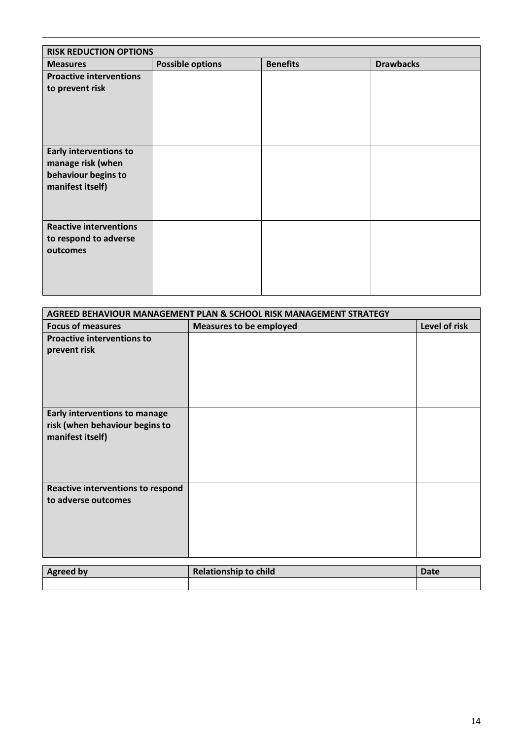| <b>RISK REDUCTION OPTIONS</b>                                                                 |                         |                 |                  |  |  |
|-----------------------------------------------------------------------------------------------|-------------------------|-----------------|------------------|--|--|
| <b>Measures</b>                                                                               | <b>Possible options</b> | <b>Benefits</b> | <b>Drawbacks</b> |  |  |
| <b>Proactive interventions</b><br>to prevent risk                                             |                         |                 |                  |  |  |
| <b>Early interventions to</b><br>manage risk (when<br>behaviour begins to<br>manifest itself) |                         |                 |                  |  |  |
| <b>Reactive interventions</b><br>to respond to adverse<br>outcomes                            |                         |                 |                  |  |  |

| <b>AGREED BEHAVIOUR MANAGEMENT PLAN &amp; SCHOOL RISK MANAGEMENT STRATEGY</b>              |                                |               |  |  |
|--------------------------------------------------------------------------------------------|--------------------------------|---------------|--|--|
| <b>Focus of measures</b>                                                                   | <b>Measures to be employed</b> | Level of risk |  |  |
| <b>Proactive interventions to</b><br>prevent risk                                          |                                |               |  |  |
| <b>Early interventions to manage</b><br>risk (when behaviour begins to<br>manifest itself) |                                |               |  |  |
| Reactive interventions to respond<br>to adverse outcomes                                   |                                |               |  |  |
| Agrood hy                                                                                  | Relationshin to child          | Date          |  |  |

| <b>Agreed by</b> | <b>Relationship to child</b> | Date |
|------------------|------------------------------|------|
|                  |                              |      |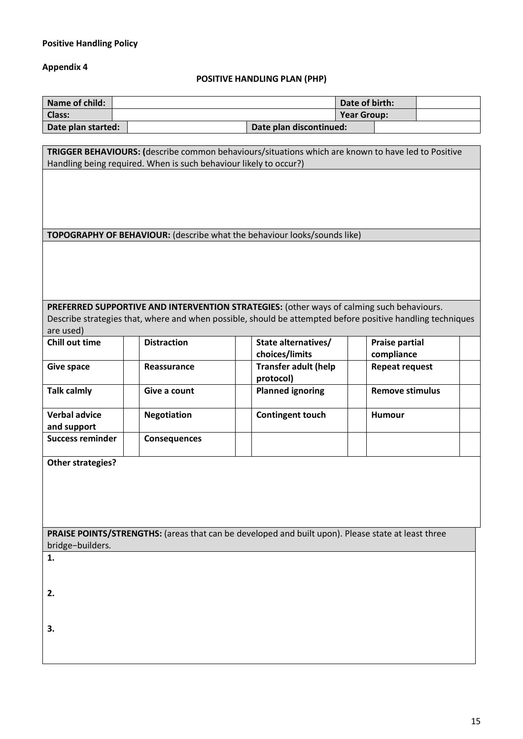## **Appendix 4**

## **POSITIVE HANDLING PLAN (PHP)**

| Name of child:     |                         | Date of birth: |  |
|--------------------|-------------------------|----------------|--|
| <b>Class:</b>      |                         | Year Group:    |  |
| Date plan started: | Date plan discontinued: |                |  |

| TRIGGER BEHAVIOURS: (describe common behaviours/situations which are known to have led to Positive<br>Handling being required. When is such behaviour likely to occur?) |                     |                                                                                           |                                                                                                            |  |  |  |
|-------------------------------------------------------------------------------------------------------------------------------------------------------------------------|---------------------|-------------------------------------------------------------------------------------------|------------------------------------------------------------------------------------------------------------|--|--|--|
|                                                                                                                                                                         |                     |                                                                                           |                                                                                                            |  |  |  |
|                                                                                                                                                                         |                     |                                                                                           |                                                                                                            |  |  |  |
|                                                                                                                                                                         |                     |                                                                                           |                                                                                                            |  |  |  |
|                                                                                                                                                                         |                     | <b>TOPOGRAPHY OF BEHAVIOUR:</b> (describe what the behaviour looks/sounds like)           |                                                                                                            |  |  |  |
|                                                                                                                                                                         |                     |                                                                                           |                                                                                                            |  |  |  |
|                                                                                                                                                                         |                     |                                                                                           |                                                                                                            |  |  |  |
|                                                                                                                                                                         |                     |                                                                                           |                                                                                                            |  |  |  |
|                                                                                                                                                                         |                     |                                                                                           |                                                                                                            |  |  |  |
|                                                                                                                                                                         |                     | PREFERRED SUPPORTIVE AND INTERVENTION STRATEGIES: (other ways of calming such behaviours. |                                                                                                            |  |  |  |
| are used)                                                                                                                                                               |                     |                                                                                           | Describe strategies that, where and when possible, should be attempted before positive handling techniques |  |  |  |
| <b>Chill out time</b>                                                                                                                                                   | <b>Distraction</b>  | State alternatives/                                                                       | <b>Praise partial</b>                                                                                      |  |  |  |
|                                                                                                                                                                         |                     | choices/limits                                                                            | compliance                                                                                                 |  |  |  |
| <b>Give space</b>                                                                                                                                                       | Reassurance         | <b>Transfer adult (help</b><br>protocol)                                                  | <b>Repeat request</b>                                                                                      |  |  |  |
| <b>Talk calmly</b>                                                                                                                                                      | Give a count        | <b>Planned ignoring</b>                                                                   | <b>Remove stimulus</b>                                                                                     |  |  |  |
| <b>Verbal advice</b>                                                                                                                                                    | <b>Negotiation</b>  | <b>Contingent touch</b>                                                                   | Humour                                                                                                     |  |  |  |
| and support                                                                                                                                                             |                     |                                                                                           |                                                                                                            |  |  |  |
| <b>Success reminder</b>                                                                                                                                                 | <b>Consequences</b> |                                                                                           |                                                                                                            |  |  |  |
| Other strategies?                                                                                                                                                       |                     |                                                                                           |                                                                                                            |  |  |  |
|                                                                                                                                                                         |                     |                                                                                           |                                                                                                            |  |  |  |
|                                                                                                                                                                         |                     |                                                                                           |                                                                                                            |  |  |  |
|                                                                                                                                                                         |                     |                                                                                           |                                                                                                            |  |  |  |
|                                                                                                                                                                         |                     |                                                                                           |                                                                                                            |  |  |  |
| PRAISE POINTS/STRENGTHS: (areas that can be developed and built upon). Please state at least three<br>bridge-builders.                                                  |                     |                                                                                           |                                                                                                            |  |  |  |
| 1.                                                                                                                                                                      |                     |                                                                                           |                                                                                                            |  |  |  |
|                                                                                                                                                                         |                     |                                                                                           |                                                                                                            |  |  |  |
| 2.                                                                                                                                                                      |                     |                                                                                           |                                                                                                            |  |  |  |
|                                                                                                                                                                         |                     |                                                                                           |                                                                                                            |  |  |  |
| 3.                                                                                                                                                                      |                     |                                                                                           |                                                                                                            |  |  |  |
|                                                                                                                                                                         |                     |                                                                                           |                                                                                                            |  |  |  |
|                                                                                                                                                                         |                     |                                                                                           |                                                                                                            |  |  |  |